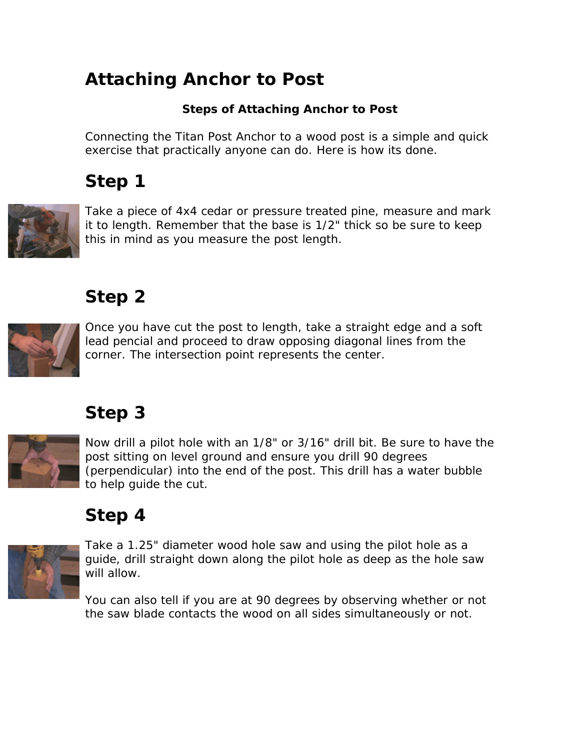#### **Attaching Anchor to Post**

#### **Steps of Attaching Anchor to Post**

Connecting the Titan Post Anchor to a wood post is a simple and quick exercise that practically anyone can do. Here is how its done.

# **Step 1**



Take a piece of 4x4 cedar or pressure treated pine, measure and mark it to length. Remember that the base is 1/2" thick so be sure to keep this in mind as you measure the post length.

#### **Step 2**



Once you have cut the post to length, take a straight edge and a soft lead pencial and proceed to draw opposing diagonal lines from the corner. The intersection point represents the center.

#### **Step 3**



Now drill a pilot hole with an 1/8" or 3/16" drill bit. Be sure to have the post sitting on level ground and ensure you drill 90 degrees (perpendicular) into the end of the post. This drill has a water bubble to help guide the cut.

# **Step 4**



Take a 1.25" diameter wood hole saw and using the pilot hole as a guide, drill straight down along the pilot hole as deep as the hole saw will allow.

You can also tell if you are at 90 degrees by observing whether or not the saw blade contacts the wood on all sides simultaneously or not.